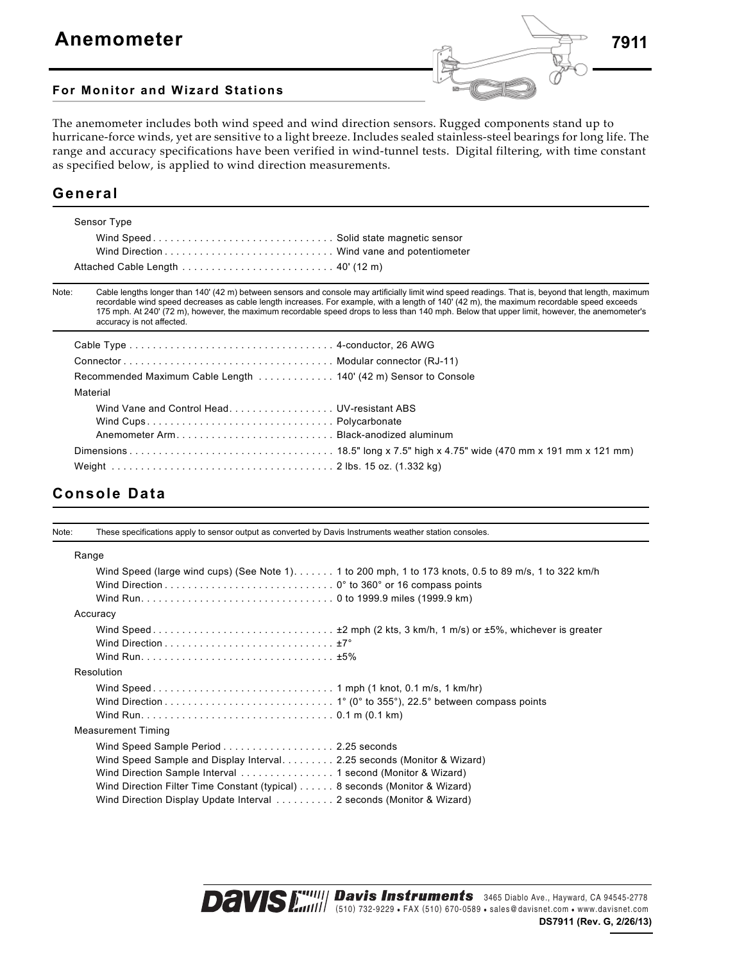

#### **For Monitor and Wizard Stations**

The anemometer includes both wind speed and wind direction sensors. Rugged components stand up to hurricane-force winds, yet are sensitive to a light breeze. Includes sealed stainless-steel bearings for long life. The range and accuracy specifications have been verified in wind-tunnel tests. Digital filtering, with time constant as specified below, is applied to wind direction measurements.

### **General**

| Sensor Type |  |
|-------------|--|
|             |  |
|             |  |
|             |  |

Note: Cable lengths longer than 140' (42 m) between sensors and console may artificially limit wind speed readings. That is, beyond that length, maximum recordable wind speed decreases as cable length increases. For example, with a length of 140' (42 m), the maximum recordable speed exceeds 175 mph. At 240' (72 m), however, the maximum recordable speed drops to less than 140 mph. Below that upper limit, however, the anemometer's accuracy is not affected.

| Recommended Maximum Cable Length 140' (42 m) Sensor to Console |  |
|----------------------------------------------------------------|--|
| Material                                                       |  |
| Wind Vane and Control Head UV-resistant ABS                    |  |
|                                                                |  |
|                                                                |  |
|                                                                |  |
|                                                                |  |

#### **Console Data**

| Note: | These specifications apply to sensor output as converted by Davis Instruments weather station consoles.                                                                                                                                                                                                                               |                                                                                                      |
|-------|---------------------------------------------------------------------------------------------------------------------------------------------------------------------------------------------------------------------------------------------------------------------------------------------------------------------------------------|------------------------------------------------------------------------------------------------------|
|       | Range                                                                                                                                                                                                                                                                                                                                 |                                                                                                      |
|       |                                                                                                                                                                                                                                                                                                                                       | Wind Speed (large wind cups) (See Note 1) 1 to 200 mph, 1 to 173 knots, 0.5 to 89 m/s, 1 to 322 km/h |
|       | Accuracy                                                                                                                                                                                                                                                                                                                              |                                                                                                      |
|       |                                                                                                                                                                                                                                                                                                                                       |                                                                                                      |
|       | Resolution                                                                                                                                                                                                                                                                                                                            |                                                                                                      |
|       |                                                                                                                                                                                                                                                                                                                                       |                                                                                                      |
|       | <b>Measurement Timing</b>                                                                                                                                                                                                                                                                                                             |                                                                                                      |
|       | Wind Speed Sample Period 2.25 seconds<br>Wind Speed Sample and Display Interval. 2.25 seconds (Monitor & Wizard)<br>Wind Direction Sample Interval 1 second (Monitor & Wizard)<br>Wind Direction Filter Time Constant (typical)  8 seconds (Monitor & Wizard)<br>Wind Direction Display Update Interval  2 seconds (Monitor & Wizard) |                                                                                                      |